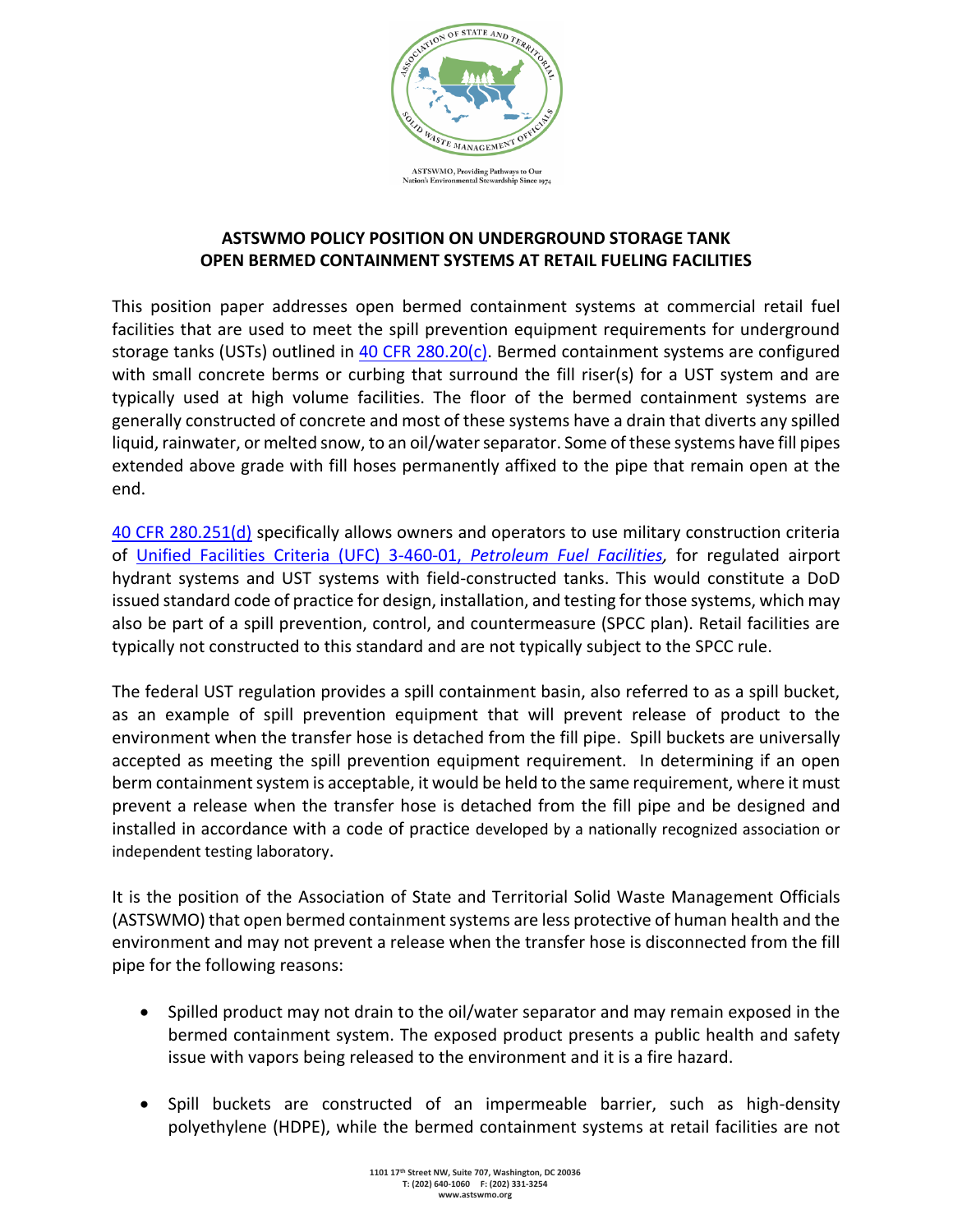

## **ASTSWMO POLICY POSITION ON UNDERGROUND STORAGE TANK OPEN BERMED CONTAINMENT SYSTEMS AT RETAIL FUELING FACILITIES**

This position paper addresses open bermed containment systems at commercial retail fuel facilities that are used to meet the spill prevention equipment requirements for underground storage tanks (USTs) outlined in [40 CFR 280.20\(c\).](https://www.law.cornell.edu/cfr/text/40/280.20) Bermed containment systems are configured with small concrete berms or curbing that surround the fill riser(s) for a UST system and are typically used at high volume facilities. The floor of the bermed containment systems are generally constructed of concrete and most of these systems have a drain that diverts any spilled liquid, rainwater, or melted snow, to an oil/water separator. Some of these systems have fill pipes extended above grade with fill hoses permanently affixed to the pipe that remain open at the end.

[40 CFR 280.251\(d\)](https://www.law.cornell.edu/cfr/text/40/280.251) specifically allows owners and operators to use military construction criteria of [Unified Facilities Criteria \(UFC\) 3-460-01,](https://www.wbdg.org/ffc/dod/unified-facilities-criteria-ufc/ufc-3-460-01) *Petroleum Fuel Facilities,* for regulated airport hydrant systems and UST systems with field-constructed tanks. This would constitute a DoD issued standard code of practice for design, installation, and testing for those systems, which may also be part of a spill prevention, control, and countermeasure (SPCC plan). Retail facilities are typically not constructed to this standard and are not typically subject to the SPCC rule.

The federal UST regulation provides a spill containment basin, also referred to as a spill bucket, as an example of spill prevention equipment that will prevent release of product to the environment when the transfer hose is detached from the fill pipe. Spill buckets are universally accepted as meeting the spill prevention equipment requirement. In determining if an open berm containment system is acceptable, it would be held to the same requirement, where it must prevent a release when the transfer hose is detached from the fill pipe and be designed and installed in accordance with a code of practice developed by a nationally recognized association or independent testing laboratory.

It is the position of the Association of State and Territorial Solid Waste Management Officials (ASTSWMO) that open bermed containment systems are less protective of human health and the environment and may not prevent a release when the transfer hose is disconnected from the fill pipe for the following reasons:

- Spilled product may not drain to the oil/water separator and may remain exposed in the bermed containment system. The exposed product presents a public health and safety issue with vapors being released to the environment and it is a fire hazard.
- Spill buckets are constructed of an impermeable barrier, such as high-density polyethylene (HDPE), while the bermed containment systems at retail facilities are not